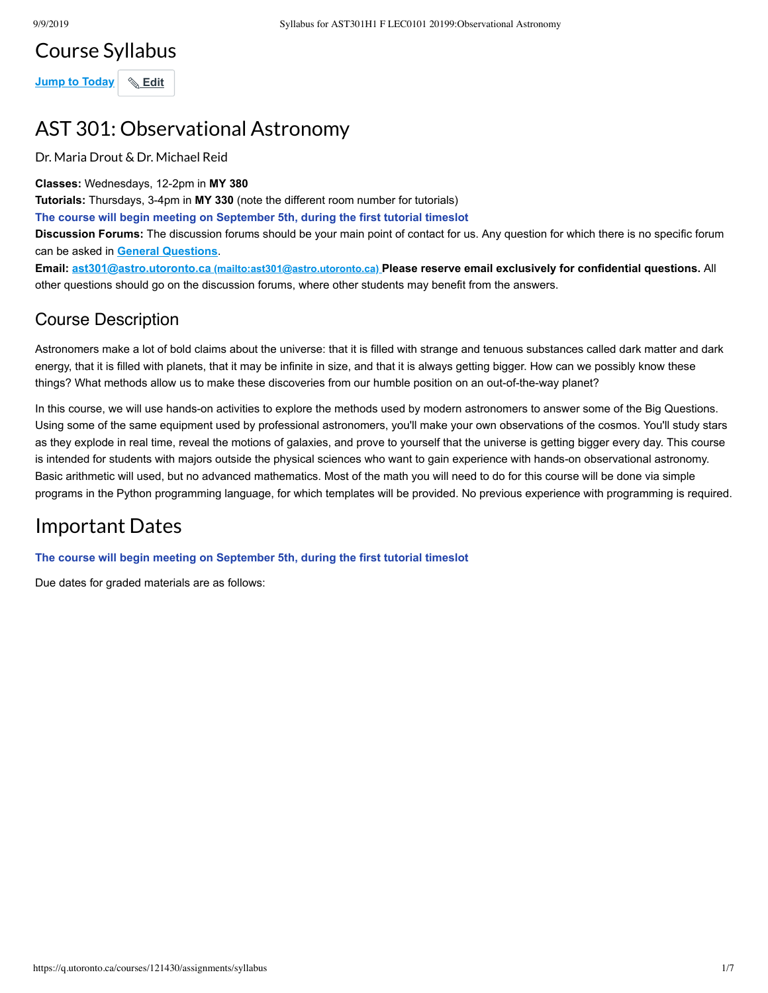# Course Syllabus

**Jump to Today Edit** 

# AST 301: Observational Astronomy

Dr. Maria Drout & Dr. Michael Reid

**Classes:** Wednesdays, 12-2pm in **MY 380**

**Tutorials:** Thursdays, 3-4pm in **MY 330** (note the different room number for tutorials)

**The course will begin meeting on September 5th, during the first tutorial timeslot**

**Discussion Forums:** The discussion forums should be your main point of contact for us. Any question for which there is no specific forum can be asked in **[General Questions](https://q.utoronto.ca/courses/121430/discussion_topics/356676)**.

**Email: ast301@astro.utoronto.ca [\(mailto:ast301@astro.utoronto.ca\)](mailto:ast301@astro.utoronto.ca) Please reserve email exclusively for confidential questions.** All other questions should go on the discussion forums, where other students may benefit from the answers.

#### Course Description

Astronomers make a lot of bold claims about the universe: that it is filled with strange and tenuous substances called dark matter and dark energy, that it is filled with planets, that it may be infinite in size, and that it is always getting bigger. How can we possibly know these things? What methods allow us to make these discoveries from our humble position on an out-of-the-way planet?

In this course, we will use hands-on activities to explore the methods used by modern astronomers to answer some of the Big Questions. Using some of the same equipment used by professional astronomers, you'll make your own observations of the cosmos. You'll study stars as they explode in real time, reveal the motions of galaxies, and prove to yourself that the universe is getting bigger every day. This course is intended for students with majors outside the physical sciences who want to gain experience with hands-on observational astronomy. Basic arithmetic will used, but no advanced mathematics. Most of the math you will need to do for this course will be done via simple programs in the Python programming language, for which templates will be provided. No previous experience with programming is required.

# Important Dates

**The course will begin meeting on September 5th, during the first tutorial timeslot**

Due dates for graded materials are as follows: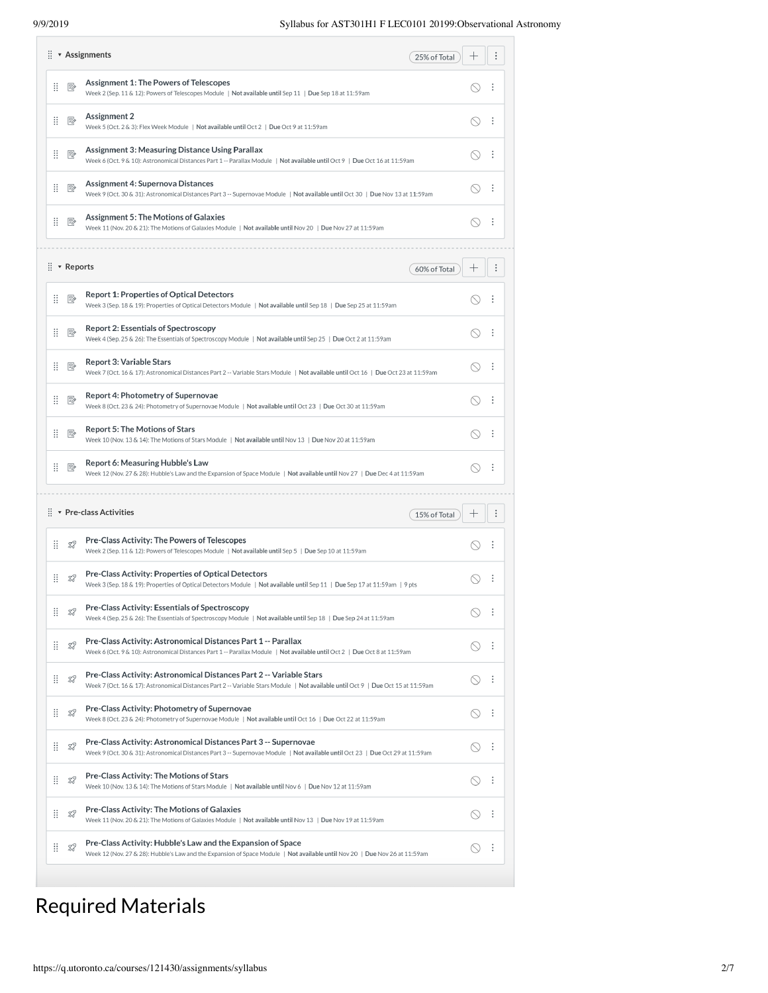|    |                         | $\vdots$ <b>*</b> Assignments<br>25% of Total                                                                                                                                                            |        |   |
|----|-------------------------|----------------------------------------------------------------------------------------------------------------------------------------------------------------------------------------------------------|--------|---|
| ÷  | ₽                       | <b>Assignment 1: The Powers of Telescopes</b><br>Week 2 (Sep. 11 & 12): Powers of Telescopes Module   Not available until Sep 11   Due Sep 18 at 11:59am                                                 |        | ÷ |
| H  | P,                      | <b>Assignment 2</b><br>Week 5 (Oct. 2 & 3): Flex Week Module   Not available until Oct 2   Due Oct 9 at 11:59am                                                                                          |        | ÷ |
| Ħ. | 垦                       | <b>Assignment 3: Measuring Distance Using Parallax</b><br>Week 6 (Oct. 9 & 10): Astronomical Distances Part 1 -- Parallax Module   Not available until Oct 9   Due Oct 16 at 11:59am                     |        | ÷ |
| H  | P,                      | Assignment 4: Supernova Distances<br>Week 9 (Oct. 30 & 31): Astronomical Distances Part 3 -- Supernovae Module   Not available until Oct 30   Due Nov 13 at 11:59am                                      |        | ÷ |
| H  | ₽                       | <b>Assignment 5: The Motions of Galaxies</b><br>Week 11 (Nov. 20 & 21): The Motions of Galaxies Module   Not available until Nov 20   Due Nov 27 at 11:59am                                              |        | ÷ |
|    | $\vdots$ <b>Reports</b> | 60% of Total                                                                                                                                                                                             |        |   |
| Ħ. | P,                      | <b>Report 1: Properties of Optical Detectors</b><br>Week 3 (Sep. 18 & 19): Properties of Optical Detectors Module   Not available until Sep 18   Due Sep 25 at 11:59am                                   |        |   |
| Ħ. | ₽                       | <b>Report 2: Essentials of Spectroscopy</b><br>Week 4 (Sep. 25 & 26): The Essentials of Spectroscopy Module   Not available until Sep 25   Due Oct 2 at 11:59am                                          |        |   |
| Ħ. | ₽                       | <b>Report 3: Variable Stars</b><br>Week 7 (Oct. 16 & 17): Astronomical Distances Part 2 -- Variable Stars Module   Not available until Oct 16   Due Oct 23 at 11:59am                                    |        | ÷ |
| H  | P,                      | Report 4: Photometry of Supernovae<br>Week 8 (Oct. 23 & 24): Photometry of Supernovae Module   Not available until Oct 23   Due Oct 30 at 11:59am                                                        |        | ÷ |
| H  | P,                      | <b>Report 5: The Motions of Stars</b><br>Week 10 (Nov. 13 & 14): The Motions of Stars Module   Not available until Nov 13   Due Nov 20 at 11:59am                                                        |        | ÷ |
| H  | P,                      | Report 6: Measuring Hubble's Law<br>Week 12 (Nov. 27 & 28): Hubble's Law and the Expansion of Space Module   Not available until Nov 27   Due Dec 4 at 11:59am                                           | $\sim$ |   |
|    |                         | $\vdots$ $\bullet$ Pre-class Activities<br>15% of Total                                                                                                                                                  |        |   |
| ÷  | TP.                     | Pre-Class Activity: The Powers of Telescopes<br>Week 2 (Sep. 11 & 12): Powers of Telescopes Module   Not available until Sep 5   Due Sep 10 at 11:59am                                                   |        |   |
| H  | Z,                      | Pre-Class Activity: Properties of Optical Detectors<br>Week 3 (Sep. 18 & 19): Properties of Optical Detectors Module   Not available until Sep 11   Due Sep 17 at 11:59am   9 pts                        |        | ÷ |
| H  | T3                      | Pre-Class Activity: Essentials of Spectroscopy<br>Week 4 (Sep. 25 & 26): The Essentials of Spectroscopy Module   Not available until Sep 18   Due Sep 24 at 11:59am                                      |        |   |
| ÷  | TZ.                     | Pre-Class Activity: Astronomical Distances Part 1 -- Parallax<br>Week 6 (Oct. 9 & 10): Astronomical Distances Part 1 -- Parallax Module   Not available until Oct 2   Due Oct 8 at 11:59am               | $\sim$ | ÷ |
| H  | TS.                     | Pre-Class Activity: Astronomical Distances Part 2 -- Variable Stars<br>Week 7 (Oct. 16 & 17): Astronomical Distances Part 2 -- Variable Stars Module   Not available until Oct 9   Due Oct 15 at 11:59am |        | ÷ |
| H  | T.T                     | Pre-Class Activity: Photometry of Supernovae<br>Week 8 (Oct. 23 & 24): Photometry of Supernovae Module   Not available until Oct 16   Due Oct 22 at 11:59am                                              |        | ÷ |
| H  | T3                      | Pre-Class Activity: Astronomical Distances Part 3 -- Supernovae<br>Week 9 (Oct. 30 & 31): Astronomical Distances Part 3 -- Supernovae Module   Not available until Oct 23   Due Oct 29 at 11:59am        |        | ÷ |
| H  | TP.                     | <b>Pre-Class Activity: The Motions of Stars</b><br>Week 10 (Nov. 13 & 14): The Motions of Stars Module   Not available until Nov 6   Due Nov 12 at 11:59am                                               |        | ÷ |
| H  | TZ.                     | <b>Pre-Class Activity: The Motions of Galaxies</b><br>Week 11 (Nov. 20 & 21): The Motions of Galaxies Module   Not available until Nov 13   Due Nov 19 at 11:59am                                        |        | ÷ |
| ö. | T3                      | Pre-Class Activity: Hubble's Law and the Expansion of Space<br>Week 12 (Nov. 27 & 28): Hubble's Law and the Expansion of Space Module   Not available until Nov 20   Due Nov 26 at 11:59am               |        | ÷ |

# Required Materials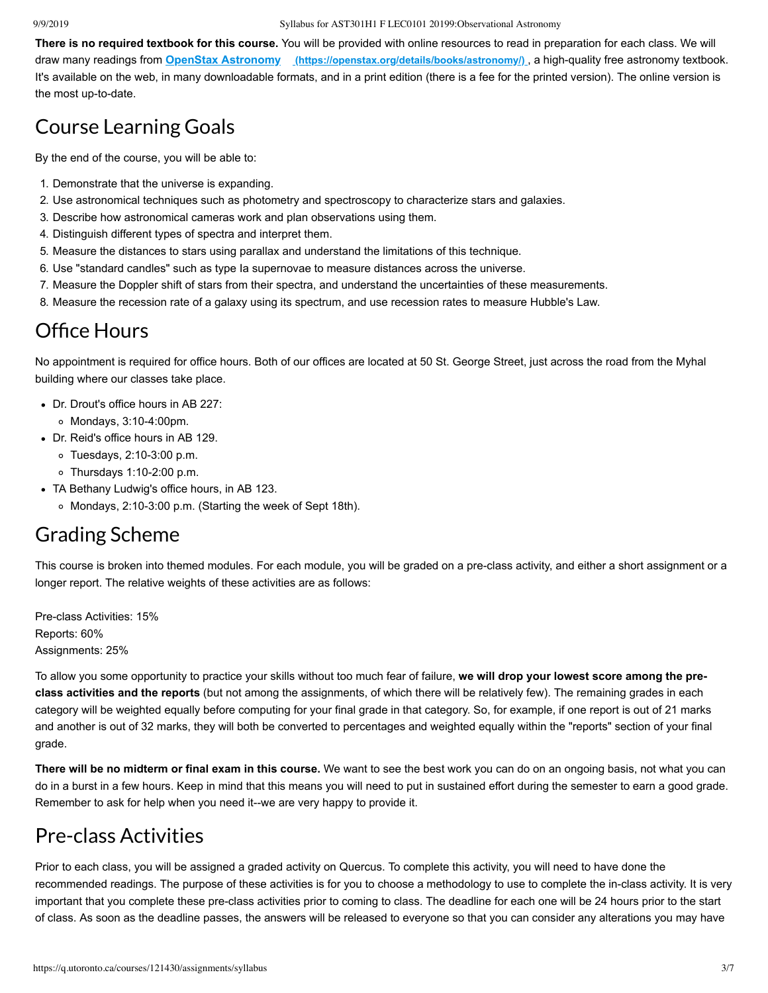#### 9/9/2019 Syllabus for AST301H1 F LEC0101 20199:Observational Astronomy

**There is no required textbook for this course.** You will be provided with online resources to read in preparation for each class. We will draw many readings from **OpenStax Astronomy [\(https://openstax.org/details/books/astronomy/\)](https://openstax.org/details/books/astronomy/)** , a high-quality free astronomy textbook. It's available on the web, in many downloadable formats, and in a print edition (there is a fee for the printed version). The online version is the most up-to-date.

## Course Learning Goals

By the end of the course, you will be able to:

- 1. Demonstrate that the universe is expanding.
- 2. Use astronomical techniques such as photometry and spectroscopy to characterize stars and galaxies.
- 3. Describe how astronomical cameras work and plan observations using them.
- 4. Distinguish different types of spectra and interpret them.
- 5. Measure the distances to stars using parallax and understand the limitations of this technique.
- 6. Use "standard candles" such as type Ia supernovae to measure distances across the universe.
- 7. Measure the Doppler shift of stars from their spectra, and understand the uncertainties of these measurements.
- 8. Measure the recession rate of a galaxy using its spectrum, and use recession rates to measure Hubble's Law.

#### **Office Hours**

No appointment is required for office hours. Both of our offices are located at 50 St. George Street, just across the road from the Myhal building where our classes take place.

- Dr. Drout's office hours in AB 227:
	- Mondays, 3:10-4:00pm.
- Dr. Reid's office hours in AB 129.
	- Tuesdays, 2:10-3:00 p.m.
	- Thursdays 1:10-2:00 p.m.
- TA Bethany Ludwig's office hours, in AB 123.
	- Mondays, 2:10-3:00 p.m. (Starting the week of Sept 18th).

#### Grading Scheme

This course is broken into themed modules. For each module, you will be graded on a pre-class activity, and either a short assignment or a longer report. The relative weights of these activities are as follows:

Pre-class Activities: 15% Reports: 60% Assignments: 25%

To allow you some opportunity to practice your skills without too much fear of failure, **we will drop your lowest score among the preclass activities and the reports** (but not among the assignments, of which there will be relatively few). The remaining grades in each category will be weighted equally before computing for your final grade in that category. So, for example, if one report is out of 21 marks and another is out of 32 marks, they will both be converted to percentages and weighted equally within the "reports" section of your final grade.

**There will be no midterm or final exam in this course.** We want to see the best work you can do on an ongoing basis, not what you can do in a burst in a few hours. Keep in mind that this means you will need to put in sustained effort during the semester to earn a good grade. Remember to ask for help when you need it--we are very happy to provide it.

## Pre-class Activities

Prior to each class, you will be assigned a graded activity on Quercus. To complete this activity, you will need to have done the recommended readings. The purpose of these activities is for you to choose a methodology to use to complete the in-class activity. It is very important that you complete these pre-class activities prior to coming to class. The deadline for each one will be 24 hours prior to the start of class. As soon as the deadline passes, the answers will be released to everyone so that you can consider any alterations you may have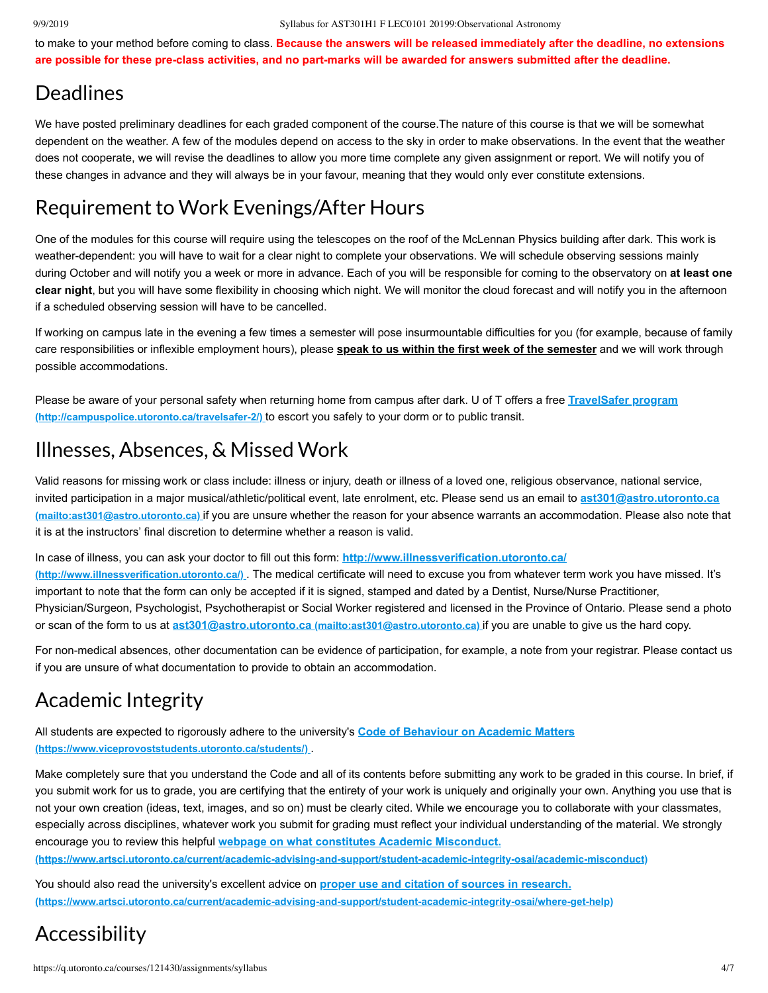to make to your method before coming to class. **Because the answers will be released immediately after the deadline, no extensions are possible for these pre-class activities, and no part-marks will be awarded for answers submitted after the deadline.**

## **Deadlines**

We have posted preliminary deadlines for each graded component of the course.The nature of this course is that we will be somewhat dependent on the weather. A few of the modules depend on access to the sky in order to make observations. In the event that the weather does not cooperate, we will revise the deadlines to allow you more time complete any given assignment or report. We will notify you of these changes in advance and they will always be in your favour, meaning that they would only ever constitute extensions.

# Requirement to Work Evenings/After Hours

One of the modules for this course will require using the telescopes on the roof of the McLennan Physics building after dark. This work is weather-dependent: you will have to wait for a clear night to complete your observations. We will schedule observing sessions mainly during October and will notify you a week or more in advance. Each of you will be responsible for coming to the observatory on **at least one clear night**, but you will have some flexibility in choosing which night. We will monitor the cloud forecast and will notify you in the afternoon if a scheduled observing session will have to be cancelled.

If working on campus late in the evening a few times a semester will pose insurmountable difficulties for you (for example, because of family care responsibilities or inflexible employment hours), please **speak to us within the first week of the semester** and we will work through possible accommodations.

[Please be aware of your personal safety when returning home from campus after dark. U of T offers a free](http://campuspolice.utoronto.ca/travelsafer-2/) **TravelSafer program (http://campuspolice.utoronto.ca/travelsafer-2/)** to escort you safely to your dorm or to public transit.

# Illnesses, Absences, & Missed Work

Valid reasons for missing work or class include: illness or injury, death or illness of a loved one, religious observance, national service, [invited participation in a major musical/athletic/political event, late enrolment, etc. Please send us an email to](mailto:ast301@astro.utoronto.ca) **ast301@astro.utoronto.ca (mailto:ast301@astro.utoronto.ca)** if you are unsure whether the reason for your absence warrants an accommodation. Please also note that it is at the instructors' final discretion to determine whether a reason is valid.

In case of illness, you can ask your doctor to fill out this form: **http://www.illnessverification.utoronto.ca/ (http://www.illnessverification.utoronto.ca/)** [. The medical certificate will need to excuse you from whatever te](http://www.illnessverification.utoronto.ca/)rm work you have missed. It's important to note that the form can only be accepted if it is signed, stamped and dated by a Dentist, Nurse/Nurse Practitioner, Physician/Surgeon, Psychologist, Psychotherapist or Social Worker registered and licensed in the Province of Ontario. Please send a photo or scan of the form to us at **[ast301@astro.utoronto.ca \(mailto:ast301@astro.utoronto.ca\)](mailto:ast301@astro.utoronto.ca)** if you are unable to give us the hard copy.

For non-medical absences, other documentation can be evidence of participation, for example, a note from your registrar. Please contact us if you are unsure of what documentation to provide to obtain an accommodation.

# Academic Integrity

[All students are expected to rigorously adhere to the university's](https://www.viceprovoststudents.utoronto.ca/students/) **Code of Behaviour on Academic Matters (https://www.viceprovoststudents.utoronto.ca/students/)** .

Make completely sure that you understand the Code and all of its contents before submitting any work to be graded in this course. In brief, if you submit work for us to grade, you are certifying that the entirety of your work is uniquely and originally your own. Anything you use that is not your own creation ( ideas, text, images, and so on) must be clearly cited. While we encourage you to collaborate with your classmates, especially across disciplines, whatever work you submit for grading must reflect your individual understanding of the material. We strongly encourage you to review this helpful **webpage on what constitutes Academic Misconduct.**

**[\(https://www.artsci.utoronto.ca/current/academic-advising-and-support/student-academic-integrity-osai/academic-misconduct\)](https://www.artsci.utoronto.ca/current/academic-advising-and-support/student-academic-integrity-osai/academic-misconduct)**

You should also read the university's excellent advice on **proper use and citation of sources in research. [\(https://www.artsci.utoronto.ca/current/academic-advising-and-support/student-academic-integrity-osai/where-get-help\)](https://www.artsci.utoronto.ca/current/academic-advising-and-support/student-academic-integrity-osai/where-get-help)**

# Accessibility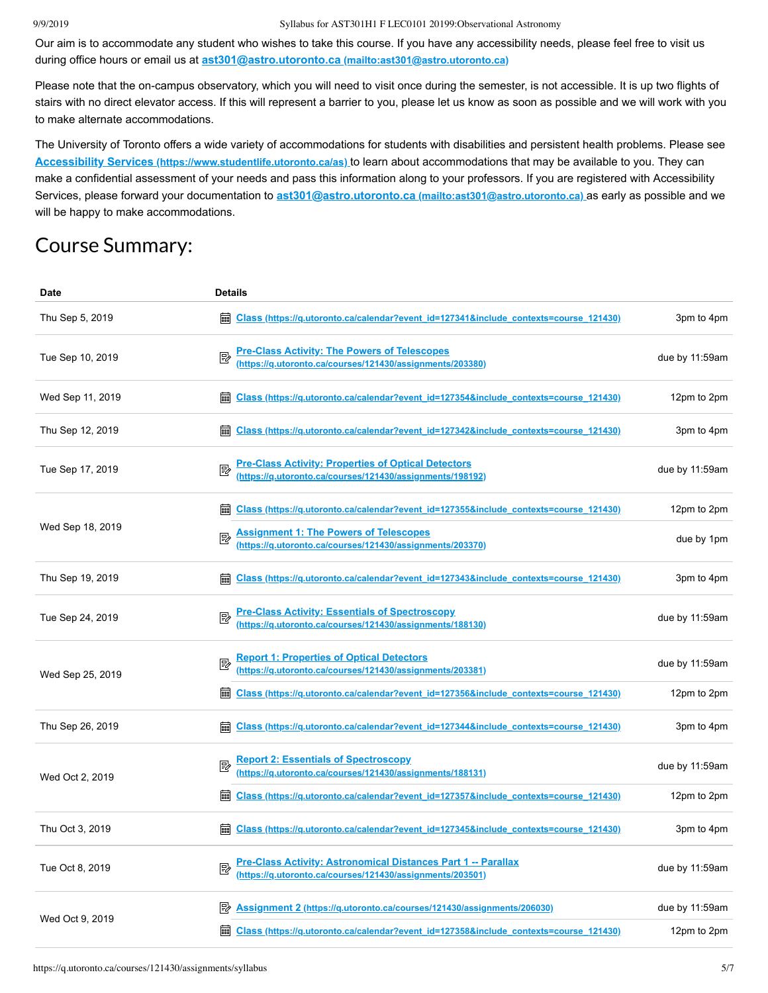#### 9/9/2019 Syllabus for AST301H1 F LEC0101 20199:Observational Astronomy

Our aim is to accommodate any student who wishes to take this course. If you have any accessibility needs, please feel free to visit us during office hours or email us at **ast301@astro.utoronto.ca [\(mailto:ast301@astro.utoronto.ca\)](mailto:ast301@astro.utoronto.ca)**

Please note that the on-campus observatory, which you will need to visit once during the semester, is not accessible. It is up two flights of stairs with no direct elevator access. If this will represent a barrier to you, please let us know as soon as possible and we will work with you to make alternate accommodations.

The University of Toronto offers a wide variety of accommodations for students with disabilities and persistent health problems. Please see **Accessibility Services [\(https://www.studentlife.utoronto.ca/as\)](https://www.studentlife.utoronto.ca/as)** to learn about accommodations that may be available to you. They can make a confidential assessment of your needs and pass this information along to your professors. If you are registered with Accessibility Services, please forward your documentation to **ast301@astro.utoronto.ca [\(mailto:ast301@astro.utoronto.ca\)](mailto:ast301@astro.utoronto.ca)** as early as possible and we will be happy to make accommodations.

# Course Summary:

| <b>Date</b>      | <b>Details</b>                                                                                                             |                |
|------------------|----------------------------------------------------------------------------------------------------------------------------|----------------|
| Thu Sep 5, 2019  | <b>Em Class (https://g.utoronto.ca/calendar?event id=127341&amp;include contexts=course 121430)</b>                        | 3pm to 4pm     |
| Tue Sep 10, 2019 | Pre-Class Activity: The Powers of Telescopes<br>(https://q.utoronto.ca/courses/121430/assignments/203380)                  | due by 11:59am |
| Wed Sep 11, 2019 | Class (https://g.utoronto.ca/calendar?event_id=127354&include_contexts=course_121430)<br>藟                                 | 12pm to 2pm    |
| Thu Sep 12, 2019 | Class (https://q.utoronto.ca/calendar?event_id=127342&include_contexts=course_121430)<br>臝                                 | 3pm to 4pm     |
| Tue Sep 17, 2019 | Pre-Class Activity: Properties of Optical Detectors<br>(https://g.utoronto.ca/courses/121430/assignments/198192)           | due by 11:59am |
|                  | Class (https://g.utoronto.ca/calendar?event_id=127355&include_contexts=course_121430)                                      | 12pm to 2pm    |
| Wed Sep 18, 2019 | Assignment 1: The Powers of Telescopes<br>(https://q.utoronto.ca/courses/121430/assignments/203370)                        | due by 1pm     |
| Thu Sep 19, 2019 | Class (https://g.utoronto.ca/calendar?event_id=127343&include_contexts=course_121430)                                      | 3pm to 4pm     |
| Tue Sep 24, 2019 | Pre-Class Activity: Essentials of Spectroscopy<br>(https://q.utoronto.ca/courses/121430/assignments/188130)                | due by 11:59am |
| Wed Sep 25, 2019 | <b>Report 1: Properties of Optical Detectors</b><br>(https://q.utoronto.ca/courses/121430/assignments/203381)              | due by 11:59am |
|                  | Class (https://g.utoronto.ca/calendar?event_id=127356&include_contexts=course_121430)<br>翩                                 | 12pm to 2pm    |
| Thu Sep 26, 2019 | <b>adj Class (https://g.utoronto.ca/calendar?event_id=127344&amp;include_contexts=course_121430)</b>                       | 3pm to 4pm     |
| Wed Oct 2, 2019  | Report 2: Essentials of Spectroscopy.<br>(https://q.utoronto.ca/courses/121430/assignments/188131)                         | due by 11:59am |
|                  | <b>EDECIAS Changes:</b> //g.utoronto.ca/calendar?event_id=127357&include_contexts=course_121430)                           | 12pm to 2pm    |
| Thu Oct 3, 2019  | <b>a Class (https://q.utoronto.ca/calendar?event id=127345&amp;include contexts=course 121430)</b>                         | 3pm to 4pm     |
| Tue Oct 8, 2019  | Pre-Class Activity: Astronomical Distances Part 1 -- Parallax<br>(https://g.utoronto.ca/courses/121430/assignments/203501) | due by 11:59am |
| Wed Oct 9, 2019  | Assignment 2 (https://q.utoronto.ca/courses/121430/assignments/206030)<br>眇                                                | due by 11:59am |
|                  | 繭<br>Class (https://g.utoronto.ca/calendar?event_id=127358&include_contexts=course_121430)                                 | 12pm to 2pm    |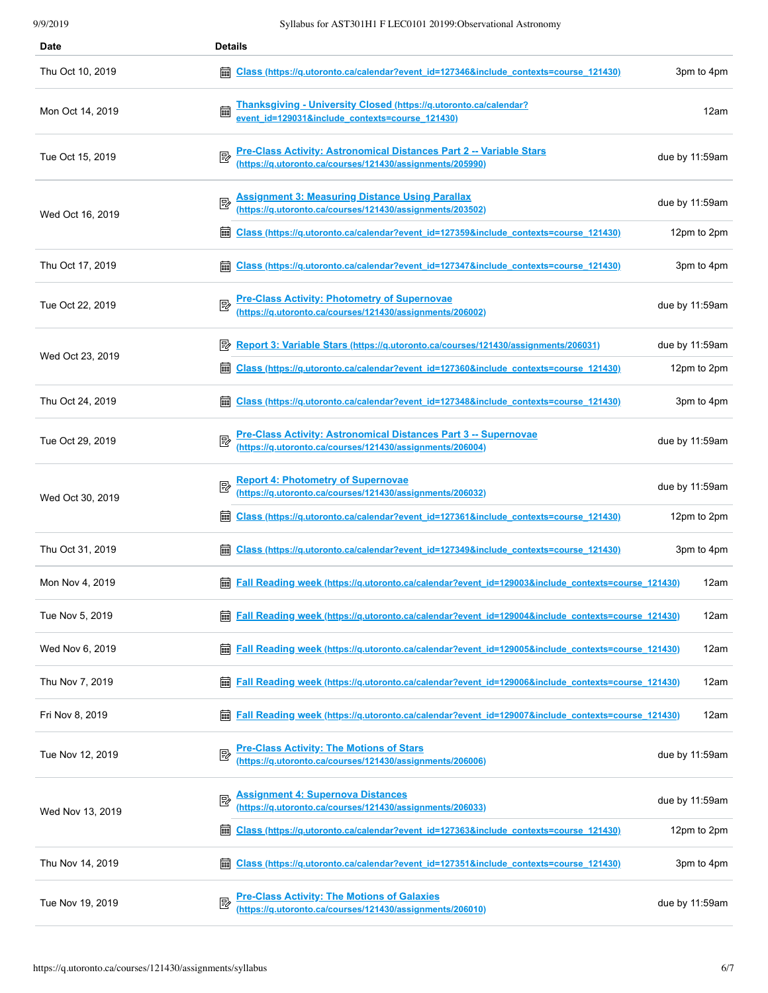| Date             | <b>Details</b>                                                                                                                                            |
|------------------|-----------------------------------------------------------------------------------------------------------------------------------------------------------|
| Thu Oct 10, 2019 | 圇<br>3pm to 4pm<br><u>Class (https://q.utoronto.ca/calendar?event_id=127346&amp;include_contexts=course_121430)</u>                                       |
| Mon Oct 14, 2019 | Thanksgiving - University Closed (https://q.utoronto.ca/calendar?<br>event_id=129031&include_contexts=course_121430)<br>12am                              |
| Tue Oct 15, 2019 | <b>Pre-Class Activity: Astronomical Distances Part 2 -- Variable Stars</b><br>due by 11:59am<br>(https://q.utoronto.ca/courses/121430/assignments/205990) |
| Wed Oct 16, 2019 | Assignment 3: Measuring Distance Using Parallax<br>(https://q.utoronto.ca/courses/121430/assignments/203502)<br>國<br>due by 11:59am                       |
|                  | Class (https://g.utoronto.ca/calendar?event_id=127359&include_contexts=course_121430)<br>12pm to 2pm<br>  888                                             |
| Thu Oct 17, 2019 | Class (https://g.utoronto.ca/calendar?event_id=127347&include_contexts=course_121430)<br>3pm to 4pm                                                       |
| Tue Oct 22, 2019 | Pre-Class Activity: Photometry of Supernovae<br>(https://q.utoronto.ca/courses/121430/assignments/206002)<br>due by 11:59am                               |
| Wed Oct 23, 2019 | Report 3: Variable Stars (https://g.utoronto.ca/courses/121430/assignments/206031)<br>due by 11:59am<br>彫                                                 |
|                  | 12pm to 2pm<br>  888<br>Class (https://q.utoronto.ca/calendar?event_id=127360&include_contexts=course_121430)                                             |
| Thu Oct 24, 2019 | <u>Class (https://q.utoronto.ca/calendar?event_id=127348&amp;include_contexts=course_121430)</u><br>3pm to 4pm                                            |
| Tue Oct 29, 2019 | Pre-Class Activity: Astronomical Distances Part 3 -- Supernovae<br>(https://q.utoronto.ca/courses/121430/assignments/206004)<br>due by 11:59am            |
| Wed Oct 30, 2019 | Report 4: Photometry of Supernovae<br>(https://q.utoronto.ca/courses/121430/assignments/206032)<br>₽<br>due by 11:59am                                    |
|                  | 翩<br>Class (https://g.utoronto.ca/calendar?event_id=127361&include_contexts=course_121430)<br>12pm to 2pm                                                 |
| Thu Oct 31, 2019 | 翩<br>Class (https://g.utoronto.ca/calendar?event_id=127349&include_contexts=course_121430)<br>3pm to 4pm                                                  |
| Mon Nov 4, 2019  | Fall Reading week (https://g.utoronto.ca/calendar?event_id=129003&include_contexts=course_121430)<br>12am                                                 |
| Tue Nov 5, 2019  | 12am<br><b>Fall Reading week (https://g.utoronto.ca/calendar?event id=129004&amp;include contexts=course 121430)</b>                                      |
| Wed Nov 6, 2019  | Fall Reading week (https://g.utoronto.ca/calendar?event id=129005&include contexts=course 121430)<br>12am                                                 |
| Thu Nov 7, 2019  | 12am<br>藟<br><b>Fall Reading week (https://g.utoronto.ca/calendar?event id=129006&amp;include contexts=course 121430)</b>                                 |
| Fri Nov 8, 2019  | 12am<br><b>Fall Reading week (https://g.utoronto.ca/calendar?event id=129007&amp;include contexts=course 121430)</b>                                      |
| Tue Nov 12, 2019 | Pre-Class Activity: The Motions of Stars<br>(https://q.utoronto.ca/courses/121430/assignments/206006)<br>due by 11:59am                                   |
| Wed Nov 13, 2019 | <b>Assignment 4: Supernova Distances</b><br>₽<br>due by 11:59am<br>(https://q.utoronto.ca/courses/121430/assignments/206033)                              |
|                  | 翩<br>Class (https://g.utoronto.ca/calendar?event_id=127363&include_contexts=course_121430)<br>12pm to 2pm                                                 |
| Thu Nov 14, 2019 | Class (https://g.utoronto.ca/calendar?event_id=127351&include_contexts=course_121430)<br>3pm to 4pm                                                       |
| Tue Nov 19, 2019 | <b>Pre-Class Activity: The Motions of Galaxies</b><br>due by 11:59am<br>(https://q.utoronto.ca/courses/121430/assignments/206010)                         |